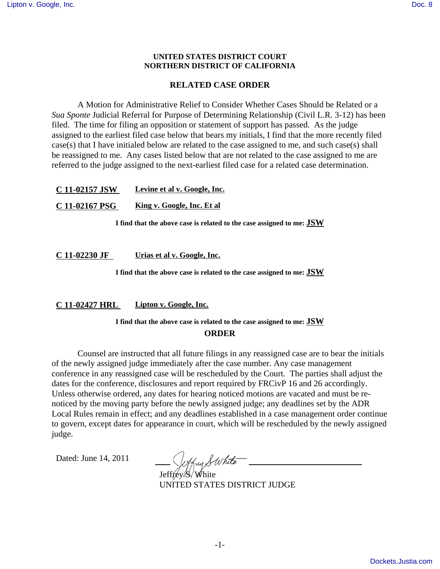#### **UNITED STATES DISTRICT COURT NORTHERN DISTRICT OF CALIFORNIA**

### **RELATED CASE ORDER**

A Motion for Administrative Relief to Consider Whether Cases Should be Related or a *Sua Sponte* Judicial Referral for Purpose of Determining Relationship (Civil L.R. 3-12) has been filed. The time for filing an opposition or statement of support has passed. As the judge assigned to the earliest filed case below that bears my initials, I find that the more recently filed case(s) that I have initialed below are related to the case assigned to me, and such case(s) shall be reassigned to me. Any cases listed below that are not related to the case assigned to me are referred to the judge assigned to the next-earliest filed case for a related case determination.

| C 11-02157 JSW | Levine et al v. Google, Inc. |
|----------------|------------------------------|
| C 11-02167 PSG | King v. Google, Inc. Et al   |

**I find that the above case is related to the case assigned to me: JSW**

**C 11-02230 JF Urias et al v. Google, Inc.**

**I find that the above case is related to the case assigned to me: JSW**

**C 11-02427 HRL Lipton v. Google, Inc.**

# **I find that the above case is related to the case assigned to me: JSW ORDER**

Counsel are instructed that all future filings in any reassigned case are to bear the initials of the newly assigned judge immediately after the case number. Any case management conference in any reassigned case will be rescheduled by the Court. The parties shall adjust the dates for the conference, disclosures and report required by FRCivP 16 and 26 accordingly. Unless otherwise ordered, any dates for hearing noticed motions are vacated and must be renoticed by the moving party before the newly assigned judge; any deadlines set by the ADR Local Rules remain in effect; and any deadlines established in a case management order continue to govern, except dates for appearance in court, which will be rescheduled by the newly assigned judge.

Dated: June 14, 2011

Jeffrey S. White

UNITED STATES DISTRICT JUDGE